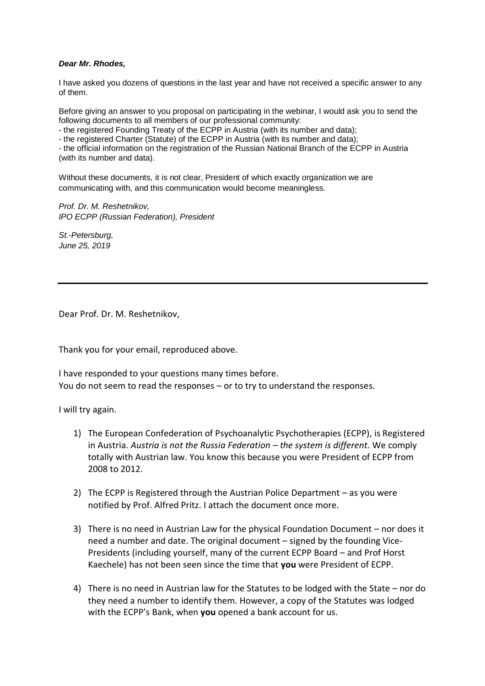## *Dear Mr. Rhodes,*

I have asked you dozens of questions in the last year and have not received a specific answer to any of them.

Before giving an answer to you proposal on participating in the webinar, I would ask you to send the following documents to all members of our professional community:

- the registered Founding Treaty of the ECPP in Austria (with its number and data);

- the registered Charter (Statute) of the ECPP in Austria (with its number and data);

- the official information on the registration of the Russian National Branch of the ECPP in Austria (with its number and data).

Without these documents, it is not clear, President of which exactly organization we are communicating with, and this communication would become meaningless.

*Prof. Dr. M. Reshetnikov, IPO ECPP (Russian Federation), President*

*St.-Petersburg, June 25, 2019*

Dear Prof. Dr. M. Reshetnikov,

Thank you for your email, reproduced above.

I have responded to your questions many times before. You do not seem to read the responses – or to try to understand the responses.

I will try again.

- 1) The European Confederation of Psychoanalytic Psychotherapies (ECPP), is Registered in Austria. *Austria is not the Russia Federation – the system is different.* We comply totally with Austrian law. You know this because you were President of ECPP from 2008 to 2012.
- 2) The ECPP is Registered through the Austrian Police Department as you were notified by Prof. Alfred Pritz. I attach the document once more.
- 3) There is no need in Austrian Law for the physical Foundation Document nor does it need a number and date. The original document – signed by the founding Vice-Presidents (including yourself, many of the current ECPP Board – and Prof Horst Kaechele) has not been seen since the time that **you** were President of ECPP.
- 4) There is no need in Austrian law for the Statutes to be lodged with the State nor do they need a number to identify them. However, a copy of the Statutes was lodged with the ECPP's Bank, when **you** opened a bank account for us.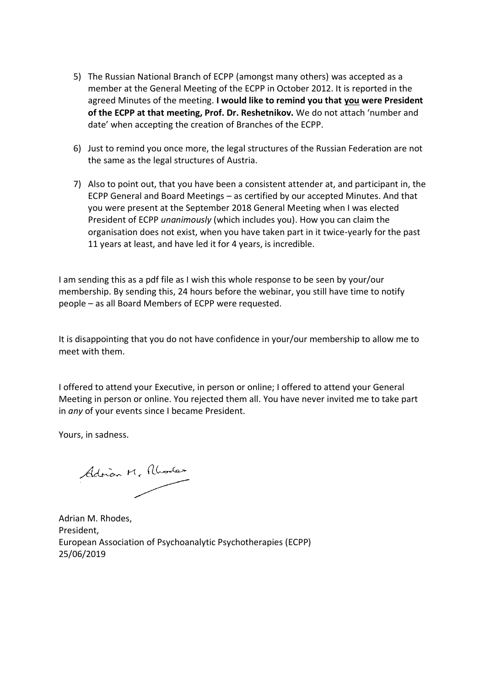- 5) The Russian National Branch of ECPP (amongst many others) was accepted as a member at the General Meeting of the ECPP in October 2012. It is reported in the agreed Minutes of the meeting. **I would like to remind you that you were President of the ECPP at that meeting, Prof. Dr. Reshetnikov.** We do not attach 'number and date' when accepting the creation of Branches of the ECPP.
- 6) Just to remind you once more, the legal structures of the Russian Federation are not the same as the legal structures of Austria.
- 7) Also to point out, that you have been a consistent attender at, and participant in, the ECPP General and Board Meetings – as certified by our accepted Minutes. And that you were present at the September 2018 General Meeting when I was elected President of ECPP *unanimously* (which includes you). How you can claim the organisation does not exist, when you have taken part in it twice-yearly for the past 11 years at least, and have led it for 4 years, is incredible.

I am sending this as a pdf file as I wish this whole response to be seen by your/our membership. By sending this, 24 hours before the webinar, you still have time to notify people – as all Board Members of ECPP were requested.

It is disappointing that you do not have confidence in your/our membership to allow me to meet with them.

I offered to attend your Executive, in person or online; I offered to attend your General Meeting in person or online. You rejected them all. You have never invited me to take part in *any* of your events since I became President.

Yours, in sadness.

Adrian M. Alharles

Adrian M. Rhodes, President, European Association of Psychoanalytic Psychotherapies (ECPP) 25/06/2019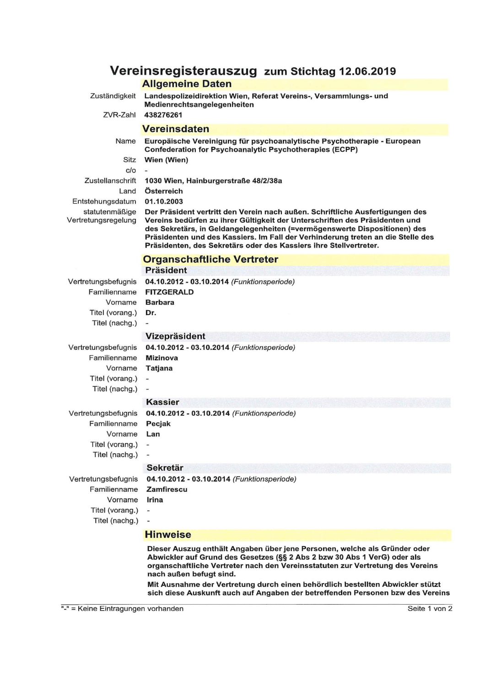## Vereinsregisterauszug zum Stichtag 12.06.2019 **Allgemeine Daten**

Zuständigkeit

Landespolizeidirektion Wien, Referat Vereins-, Versammlungs- und Medienrechtsangelegenheiten

438276261 ZVR-Zahl

## **Vereinsdaten**

Europäische Vereinigung für psychoanalytische Psychotherapie - European Name **Confederation for Psychoanalytic Psychotherapies (ECPP)** Sitz Wien (Wien)

 $c/o$ Zustellanschrift Land Entstehungsdatum

1030 Wien, Hainburgerstraße 48/2/38a Österreich

01.10.2003

statutenmäßige Vertretungsregelung

Der Präsident vertritt den Verein nach außen. Schriftliche Ausfertigungen des Vereins bedürfen zu ihrer Gültigkeit der Unterschriften des Präsidenten und des Sekretärs, in Geldangelegenheiten (=vermögenswerte Dispositionen) des Präsidenten und des Kassiers. Im Fall der Verhinderung treten an die Stelle des Präsidenten, des Sekretärs oder des Kassiers ihre Stellvertreter.

|                                                                                     | <b>Organschaftliche Vertreter</b><br><b>Präsident</b>                                   |  |
|-------------------------------------------------------------------------------------|-----------------------------------------------------------------------------------------|--|
| Vertretungsbefugnis<br>Familienname<br>Vorname                                      | 04.10.2012 - 03.10.2014 (Funktionsperiode)<br><b>FITZGERALD</b><br><b>Barbara</b>       |  |
| Titel (vorang.)<br>Titel (nachg.)                                                   | Dr.                                                                                     |  |
|                                                                                     | <b>Vizepräsident</b>                                                                    |  |
| Vertretungsbefugnis<br>Familienname<br>Vorname                                      | 04.10.2012 - 03.10.2014 (Funktionsperiode)<br><b>Mizinova</b><br><b>Tatjana</b>         |  |
| Titel (vorang.)<br>Titel (nachg.)                                                   | $\overline{\phantom{a}}$                                                                |  |
|                                                                                     | <b>Kassier</b>                                                                          |  |
| Vertretungsbefugnis<br>Familienname<br>Vorname<br>Titel (vorang.)<br>Titel (nachg.) | 04.10.2012 - 03.10.2014 (Funktionsperiode)<br>Pecjak<br>Lan<br>$\overline{\phantom{a}}$ |  |
|                                                                                     | <b>Sekretär</b>                                                                         |  |
| Vertretungsbefugnis<br>Familienname<br>Vorname<br>Titel (vorang.)                   | 04.10.2012 - 03.10.2014 (Funktionsperiode)<br><b>Zamfirescu</b><br>Irina                |  |
| Titel (nachg.)                                                                      |                                                                                         |  |

## **Hinweise**

Dieser Auszug enthält Angaben über jene Personen, welche als Gründer oder Abwickler auf Grund des Gesetzes (§§ 2 Abs 2 bzw 30 Abs 1 VerG) oder als organschaftliche Vertreter nach den Vereinsstatuten zur Vertretung des Vereins nach außen befugt sind.

Mit Ausnahme der Vertretung durch einen behördlich bestellten Abwickler stützt sich diese Auskunft auch auf Angaben der betreffenden Personen bzw des Vereins